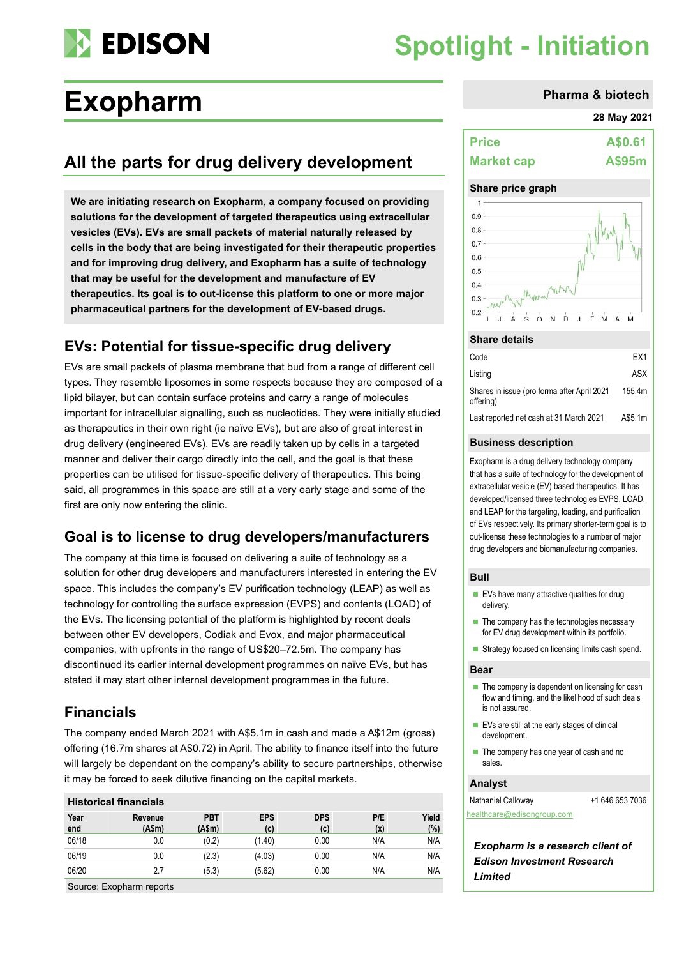

# **Spotlight - Initiation**

# **Exopharm Pharma & biotech**

## **All the parts for drug delivery development**

**We are initiating research on Exopharm, a company focused on providing solutions for the development of targeted therapeutics using extracellular vesicles (EVs). EVs are small packets of material naturally released by cells in the body that are being investigated for their therapeutic properties and for improving drug delivery, and Exopharm has a suite of technology that may be useful for the development and manufacture of EV therapeutics. Its goal is to out-license this platform to one or more major pharmaceutical partners for the development of EV-based drugs.**

### **EVs: Potential for tissue-specific drug delivery**

EVs are small packets of plasma membrane that bud from a range of different cell types. They resemble liposomes in some respects because they are composed of a lipid bilayer, but can contain surface proteins and carry a range of molecules important for intracellular signalling, such as nucleotides. They were initially studied as therapeutics in their own right (ie naïve EVs), but are also of great interest in drug delivery (engineered EVs). EVs are readily taken up by cells in a targeted manner and deliver their cargo directly into the cell, and the goal is that these properties can be utilised for tissue-specific delivery of therapeutics. This being said, all programmes in this space are still at a very early stage and some of the first are only now entering the clinic.

### **Goal is to license to drug developers/manufacturers**

The company at this time is focused on delivering a suite of technology as a solution for other drug developers and manufacturers interested in entering the EV space. This includes the company's EV purification technology (LEAP) as well as technology for controlling the surface expression (EVPS) and contents (LOAD) of the EVs. The licensing potential of the platform is highlighted by recent deals between other EV developers, Codiak and Evox, and major pharmaceutical companies, with upfronts in the range of US\$20–72.5m. The company has discontinued its earlier internal development programmes on naïve EVs, but has stated it may start other internal development programmes in the future.

### **Financials**

The company ended March 2021 with A\$5.1m in cash and made a A\$12m (gross) offering (16.7m shares at A\$0.72) in April. The ability to finance itself into the future will largely be dependant on the company's ability to secure partnerships, otherwise it may be forced to seek dilutive financing on the capital markets.

#### **Historical financials**

| Year<br>end | Revenue<br>(A\$m) | <b>PBT</b><br>(A\$m) | <b>EPS</b><br>(c) | <b>DPS</b><br>(c) | P/E<br>(x) | Yield<br>(%) |
|-------------|-------------------|----------------------|-------------------|-------------------|------------|--------------|
| 06/18       | 0.0               | (0.2)                | (1.40)            | 0.00              | N/A        | N/A          |
| 06/19       | 0.0               | (2.3)                | (4.03)            | 0.00              | N/A        | N/A          |
| 06/20       | 2.7               | (5.3)                | (5.62)            | 0.00              | N/A        | N/A          |
|             |                   |                      |                   |                   |            |              |

Source: Exopharm reports

#### **28 May 2021**

| <b>Price</b>      | A\$0.61 |
|-------------------|---------|
| <b>Market cap</b> | A\$95m  |

#### **Share price graph**



#### **Share details**

| Code                                                      | FX1     |
|-----------------------------------------------------------|---------|
| Listing                                                   | ASX     |
| Shares in issue (pro forma after April 2021)<br>offering) | 155.4m  |
| Last reported net cash at 31 March 2021                   | A\$5.1m |

#### **Business description**

Exopharm is a drug delivery technology company that has a suite of technology for the development of extracellular vesicle (EV) based therapeutics. It has developed/licensed three technologies EVPS, LOAD, and LEAP for the targeting, loading, and purification of EVs respectively. Its primary shorter-term goal is to out-license these technologies to a number of major drug developers and biomanufacturing companies.

#### **Bull**

- EVs have many attractive qualities for drug delivery.
- The company has the technologies necessary for EV drug development within its portfolio.
- Strategy focused on licensing limits cash spend.

#### **Bear**

- The company is dependent on licensing for cash flow and timing, and the likelihood of such deals is not assured.
- EVs are still at the early stages of clinical development.
- The company has one year of cash and no sales.

#### **Analyst**

Nathaniel Calloway +1 646 653 7036 [healthcare@edisongroup.com](mailto:healthcare@edisongroup.com)

*Exopharm is a research client of Edison Investment Research Limited*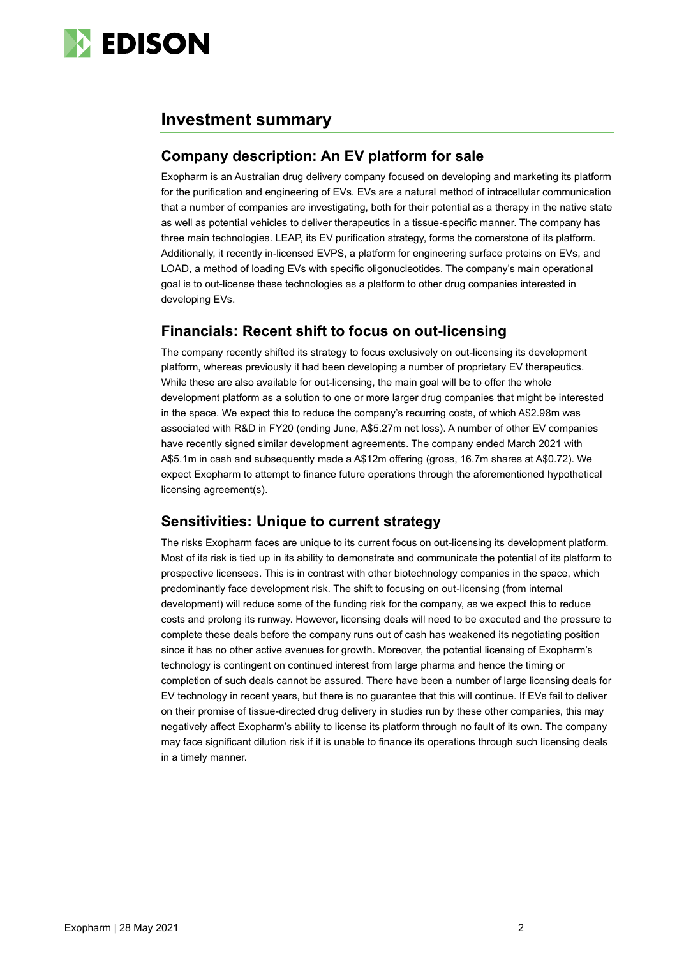

### **Investment summary**

### **Company description: An EV platform for sale**

Exopharm is an Australian drug delivery company focused on developing and marketing its platform for the purification and engineering of EVs. EVs are a natural method of intracellular communication that a number of companies are investigating, both for their potential as a therapy in the native state as well as potential vehicles to deliver therapeutics in a tissue-specific manner. The company has three main technologies. LEAP, its EV purification strategy, forms the cornerstone of its platform. Additionally, it recently in-licensed EVPS, a platform for engineering surface proteins on EVs, and LOAD, a method of loading EVs with specific oligonucleotides. The company's main operational goal is to out-license these technologies as a platform to other drug companies interested in developing EVs.

### **Financials: Recent shift to focus on out-licensing**

The company recently shifted its strategy to focus exclusively on out-licensing its development platform, whereas previously it had been developing a number of proprietary EV therapeutics. While these are also available for out-licensing, the main goal will be to offer the whole development platform as a solution to one or more larger drug companies that might be interested in the space. We expect this to reduce the company's recurring costs, of which A\$2.98m was associated with R&D in FY20 (ending June, A\$5.27m net loss). A number of other EV companies have recently signed similar development agreements. The company ended March 2021 with A\$5.1m in cash and subsequently made a A\$12m offering (gross, 16.7m shares at A\$0.72). We expect Exopharm to attempt to finance future operations through the aforementioned hypothetical licensing agreement(s).

### **Sensitivities: Unique to current strategy**

The risks Exopharm faces are unique to its current focus on out-licensing its development platform. Most of its risk is tied up in its ability to demonstrate and communicate the potential of its platform to prospective licensees. This is in contrast with other biotechnology companies in the space, which predominantly face development risk. The shift to focusing on out-licensing (from internal development) will reduce some of the funding risk for the company, as we expect this to reduce costs and prolong its runway. However, licensing deals will need to be executed and the pressure to complete these deals before the company runs out of cash has weakened its negotiating position since it has no other active avenues for growth. Moreover, the potential licensing of Exopharm's technology is contingent on continued interest from large pharma and hence the timing or completion of such deals cannot be assured. There have been a number of large licensing deals for EV technology in recent years, but there is no guarantee that this will continue. If EVs fail to deliver on their promise of tissue-directed drug delivery in studies run by these other companies, this may negatively affect Exopharm's ability to license its platform through no fault of its own. The company may face significant dilution risk if it is unable to finance its operations through such licensing deals in a timely manner.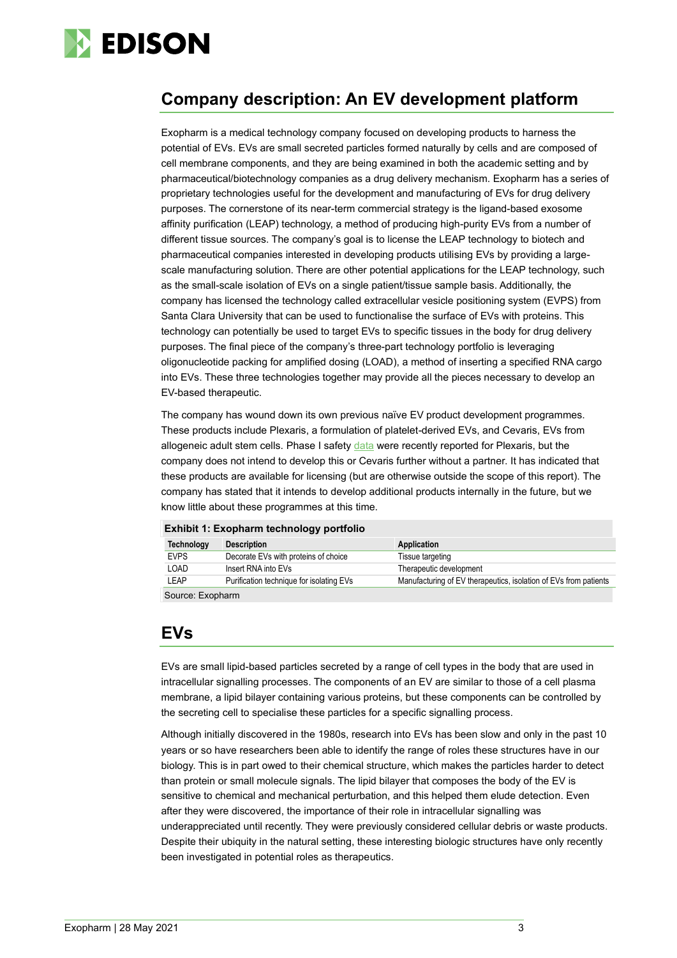

## **Company description: An EV development platform**

Exopharm is a medical technology company focused on developing products to harness the potential of EVs. EVs are small secreted particles formed naturally by cells and are composed of cell membrane components, and they are being examined in both the academic setting and by pharmaceutical/biotechnology companies as a drug delivery mechanism. Exopharm has a series of proprietary technologies useful for the development and manufacturing of EVs for drug delivery purposes. The cornerstone of its near-term commercial strategy is the ligand-based exosome affinity purification (LEAP) technology, a method of producing high-purity EVs from a number of different tissue sources. The company's goal is to license the LEAP technology to biotech and pharmaceutical companies interested in developing products utilising EVs by providing a largescale manufacturing solution. There are other potential applications for the LEAP technology, such as the small-scale isolation of EVs on a single patient/tissue sample basis. Additionally, the company has licensed the technology called extracellular vesicle positioning system (EVPS) from Santa Clara University that can be used to functionalise the surface of EVs with proteins. This technology can potentially be used to target EVs to specific tissues in the body for drug delivery purposes. The final piece of the company's three-part technology portfolio is leveraging oligonucleotide packing for amplified dosing (LOAD), a method of inserting a specified RNA cargo into EVs. These three technologies together may provide all the pieces necessary to develop an EV-based therapeutic.

The company has wound down its own previous naïve EV product development programmes. These products include Plexaris, a formulation of platelet-derived EVs, and Cevaris, EVs from allogeneic adult stem cells. Phase I safety [data](https://exopharm.com/wp-content/uploads/2021/04/02360449.pdf) were recently reported for Plexaris, but the company does not intend to develop this or Cevaris further without a partner. It has indicated that these products are available for licensing (but are otherwise outside the scope of this report). The company has stated that it intends to develop additional products internally in the future, but we know little about these programmes at this time.

|  |  |  |  |  |  | Exhibit 1: Exopharm technology portfolio |
|--|--|--|--|--|--|------------------------------------------|
|--|--|--|--|--|--|------------------------------------------|

| <b>Technology</b>   | <b>Description</b>                       | Application                                                      |  |  |
|---------------------|------------------------------------------|------------------------------------------------------------------|--|--|
| <b>EVPS</b>         | Decorate EVs with proteins of choice     | Tissue targeting                                                 |  |  |
| LOAD                | Insert RNA into EVs                      | Therapeutic development                                          |  |  |
| LEAP                | Purification technique for isolating EVs | Manufacturing of EV therapeutics, isolation of EVs from patients |  |  |
| Original Friendsham |                                          |                                                                  |  |  |

Source: Exopharm

### **EVs**

EVs are small lipid-based particles secreted by a range of cell types in the body that are used in intracellular signalling processes. The components of an EV are similar to those of a cell plasma membrane, a lipid bilayer containing various proteins, but these components can be controlled by the secreting cell to specialise these particles for a specific signalling process.

Although initially discovered in the 1980s, research into EVs has been slow and only in the past 10 years or so have researchers been able to identify the range of roles these structures have in our biology. This is in part owed to their chemical structure, which makes the particles harder to detect than protein or small molecule signals. The lipid bilayer that composes the body of the EV is sensitive to chemical and mechanical perturbation, and this helped them elude detection. Even after they were discovered, the importance of their role in intracellular signalling was underappreciated until recently. They were previously considered cellular debris or waste products. Despite their ubiquity in the natural setting, these interesting biologic structures have only recently been investigated in potential roles as therapeutics.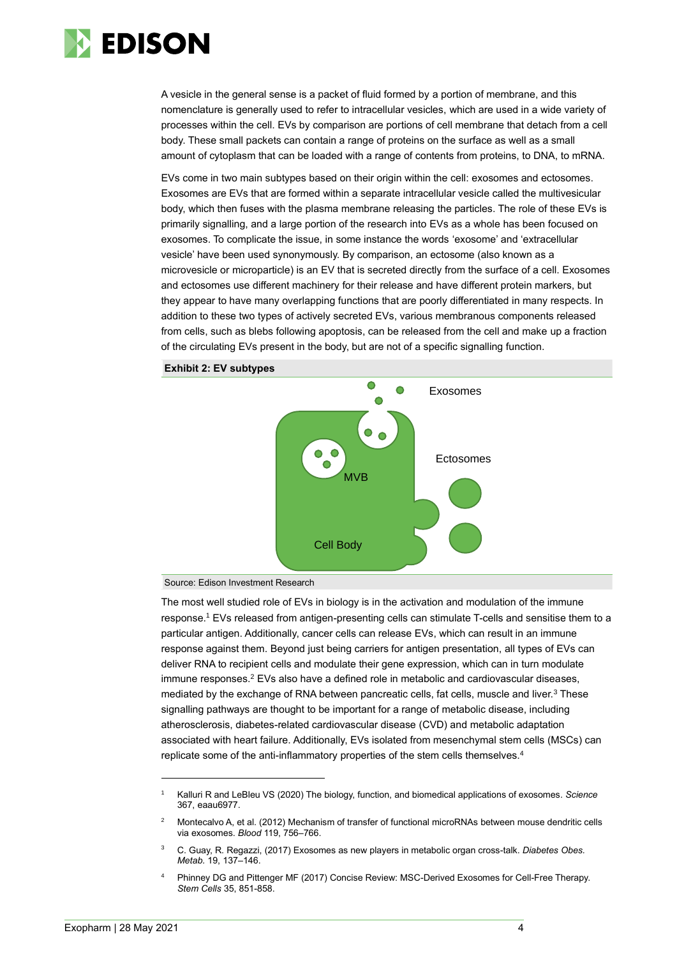

A vesicle in the general sense is a packet of fluid formed by a portion of membrane, and this nomenclature is generally used to refer to intracellular vesicles, which are used in a wide variety of processes within the cell. EVs by comparison are portions of cell membrane that detach from a cell body. These small packets can contain a range of proteins on the surface as well as a small amount of cytoplasm that can be loaded with a range of contents from proteins, to DNA, to mRNA.

EVs come in two main subtypes based on their origin within the cell: exosomes and ectosomes. Exosomes are EVs that are formed within a separate intracellular vesicle called the multivesicular body, which then fuses with the plasma membrane releasing the particles. The role of these EVs is primarily signalling, and a large portion of the research into EVs as a whole has been focused on exosomes. To complicate the issue, in some instance the words 'exosome' and 'extracellular vesicle' have been used synonymously. By comparison, an ectosome (also known as a microvesicle or microparticle) is an EV that is secreted directly from the surface of a cell. Exosomes and ectosomes use different machinery for their release and have different protein markers, but they appear to have many overlapping functions that are poorly differentiated in many respects. In addition to these two types of actively secreted EVs, various membranous components released from cells, such as blebs following apoptosis, can be released from the cell and make up a fraction of the circulating EVs present in the body, but are not of a specific signalling function.





Source: Edison Investment Research

The most well studied role of EVs in biology is in the activation and modulation of the immune response.<sup>1</sup> EVs released from antigen-presenting cells can stimulate T-cells and sensitise them to a particular antigen. Additionally, cancer cells can release EVs, which can result in an immune response against them. Beyond just being carriers for antigen presentation, all types of EVs can deliver RNA to recipient cells and modulate their gene expression, which can in turn modulate immune responses. $2$  EVs also have a defined role in metabolic and cardiovascular diseases, mediated by the exchange of RNA between pancreatic cells, fat cells, muscle and liver.<sup>3</sup> These signalling pathways are thought to be important for a range of metabolic disease, including atherosclerosis, diabetes-related cardiovascular disease (CVD) and metabolic adaptation associated with heart failure. Additionally, EVs isolated from mesenchymal stem cells (MSCs) can replicate some of the anti-inflammatory properties of the stem cells themselves.<sup>4</sup>

<sup>1</sup> Kalluri R and LeBleu VS (2020) The biology, function, and biomedical applications of exosomes. *Science* 367, eaau6977.

<sup>&</sup>lt;sup>2</sup> Montecalvo A, et al. (2012) Mechanism of transfer of functional microRNAs between mouse dendritic cells via exosomes. *Blood* 119, 756–766.

<sup>3</sup> C. Guay, R. Regazzi, (2017) Exosomes as new players in metabolic organ cross-talk. *Diabetes Obes. Metab.* 19, 137–146.

<sup>4</sup> Phinney DG and Pittenger MF (2017) Concise Review: MSC-Derived Exosomes for Cell-Free Therapy. *Stem Cells* 35, 851-858.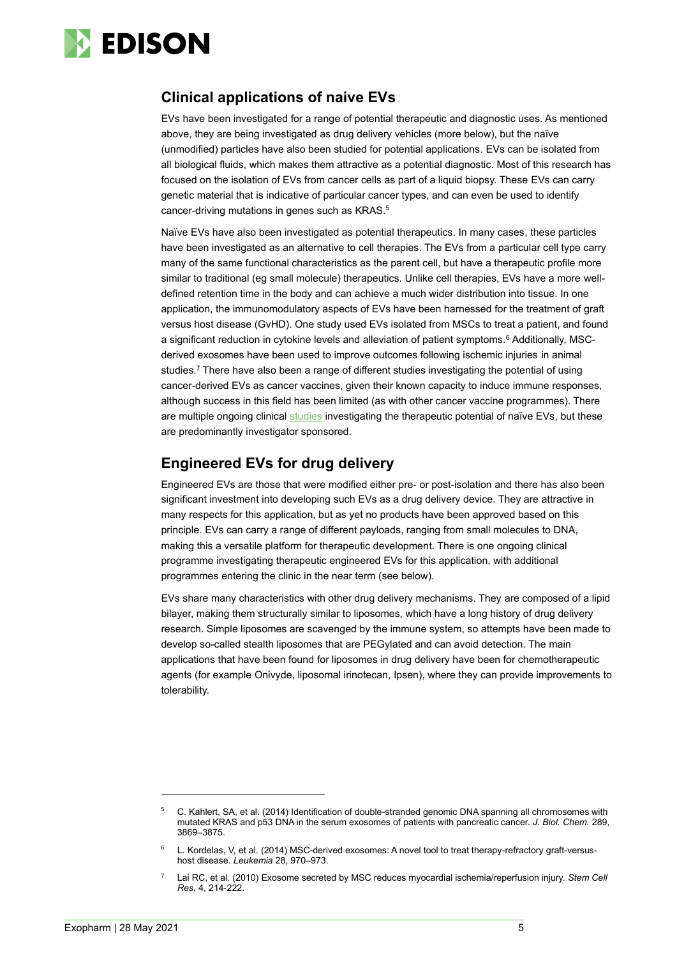

### **Clinical applications of naive EVs**

EVs have been investigated for a range of potential therapeutic and diagnostic uses. As mentioned above, they are being investigated as drug delivery vehicles (more below), but the naïve (unmodified) particles have also been studied for potential applications. EVs can be isolated from all biological fluids, which makes them attractive as a potential diagnostic. Most of this research has focused on the isolation of EVs from cancer cells as part of a liquid biopsy. These EVs can carry genetic material that is indicative of particular cancer types, and can even be used to identify cancer-driving mutations in genes such as KRAS.<sup>5</sup>

Naïve EVs have also been investigated as potential therapeutics. In many cases, these particles have been investigated as an alternative to cell therapies. The EVs from a particular cell type carry many of the same functional characteristics as the parent cell, but have a therapeutic profile more similar to traditional (eg small molecule) therapeutics. Unlike cell therapies, EVs have a more welldefined retention time in the body and can achieve a much wider distribution into tissue. In one application, the immunomodulatory aspects of EVs have been harnessed for the treatment of graft versus host disease (GvHD). One study used EVs isolated from MSCs to treat a patient, and found a significant reduction in cytokine levels and alleviation of patient symptoms.<sup>6</sup> Additionally, MSCderived exosomes have been used to improve outcomes following ischemic injuries in animal studies.<sup>7</sup> There have also been a range of different studies investigating the potential of using cancer-derived EVs as cancer vaccines, given their known capacity to induce immune responses, although success in this field has been limited (as with other cancer vaccine programmes). There are multiple ongoing clinical [studies](https://clinicaltrials.gov/ct2/results?term=exosome&recrs=a&recrs=d&age_v=&gndr=&type=&rslt=&Search=Apply) investigating the therapeutic potential of naïve EVs, but these are predominantly investigator sponsored.

### **Engineered EVs for drug delivery**

Engineered EVs are those that were modified either pre- or post-isolation and there has also been significant investment into developing such EVs as a drug delivery device. They are attractive in many respects for this application, but as yet no products have been approved based on this principle. EVs can carry a range of different payloads, ranging from small molecules to DNA, making this a versatile platform for therapeutic development. There is one ongoing clinical programme investigating therapeutic engineered EVs for this application, with additional programmes entering the clinic in the near term (see below).

EVs share many characteristics with other drug delivery mechanisms. They are composed of a lipid bilayer, making them structurally similar to liposomes, which have a long history of drug delivery research. Simple liposomes are scavenged by the immune system, so attempts have been made to develop so-called stealth liposomes that are PEGylated and can avoid detection. The main applications that have been found for liposomes in drug delivery have been for chemotherapeutic agents (for example Onivyde, liposomal irinotecan, Ipsen), where they can provide improvements to tolerability.

<sup>5</sup> C. Kahlert, SA, et al. (2014) Identification of double-stranded genomic DNA spanning all chromosomes with mutated KRAS and p53 DNA in the serum exosomes of patients with pancreatic cancer. *J. Biol. Chem.* 289, 3869–3875.

<sup>6</sup> L. Kordelas, V, et al. (2014) MSC-derived exosomes: A novel tool to treat therapy-refractory graft-versushost disease. *Leukemia* 28, 970–973.

<sup>7</sup> Lai RC, et al. (2010) Exosome secreted by MSC reduces myocardial ischemia/reperfusion injury. *Stem Cell Res.* 4, 214‐222.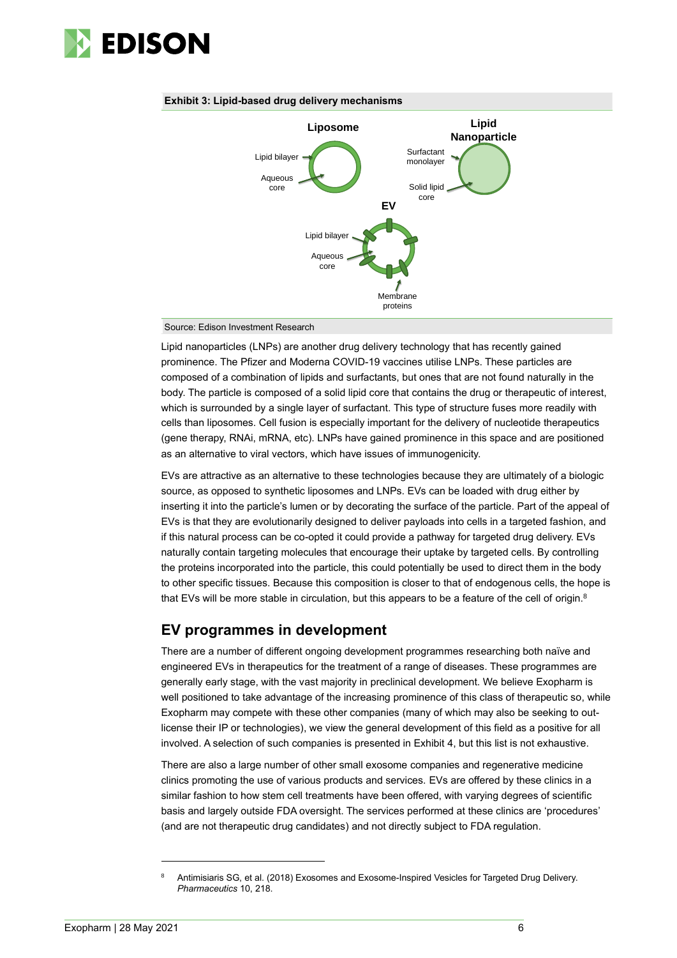

#### **Exhibit 3: Lipid-based drug delivery mechanisms**



Source: Edison Investment Research

Lipid nanoparticles (LNPs) are another drug delivery technology that has recently gained prominence. The Pfizer and Moderna COVID-19 vaccines utilise LNPs. These particles are composed of a combination of lipids and surfactants, but ones that are not found naturally in the body. The particle is composed of a solid lipid core that contains the drug or therapeutic of interest, which is surrounded by a single layer of surfactant. This type of structure fuses more readily with cells than liposomes. Cell fusion is especially important for the delivery of nucleotide therapeutics (gene therapy, RNAi, mRNA, etc). LNPs have gained prominence in this space and are positioned as an alternative to viral vectors, which have issues of immunogenicity.

EVs are attractive as an alternative to these technologies because they are ultimately of a biologic source, as opposed to synthetic liposomes and LNPs. EVs can be loaded with drug either by inserting it into the particle's lumen or by decorating the surface of the particle. Part of the appeal of EVs is that they are evolutionarily designed to deliver payloads into cells in a targeted fashion, and if this natural process can be co-opted it could provide a pathway for targeted drug delivery. EVs naturally contain targeting molecules that encourage their uptake by targeted cells. By controlling the proteins incorporated into the particle, this could potentially be used to direct them in the body to other specific tissues. Because this composition is closer to that of endogenous cells, the hope is that EVs will be more stable in circulation, but this appears to be a feature of the cell of origin.<sup>8</sup>

### **EV programmes in development**

There are a number of different ongoing development programmes researching both naïve and engineered EVs in therapeutics for the treatment of a range of diseases. These programmes are generally early stage, with the vast majority in preclinical development. We believe Exopharm is well positioned to take advantage of the increasing prominence of this class of therapeutic so, while Exopharm may compete with these other companies (many of which may also be seeking to outlicense their IP or technologies), we view the general development of this field as a positive for all involved. A selection of such companies is presented in Exhibit 4, but this list is not exhaustive.

There are also a large number of other small exosome companies and regenerative medicine clinics promoting the use of various products and services. EVs are offered by these clinics in a similar fashion to how stem cell treatments have been offered, with varying degrees of scientific basis and largely outside FDA oversight. The services performed at these clinics are 'procedures' (and are not therapeutic drug candidates) and not directly subject to FDA regulation.

<sup>8</sup> Antimisiaris SG, et al. (2018) Exosomes and Exosome-Inspired Vesicles for Targeted Drug Delivery. *Pharmaceutics* 10, 218.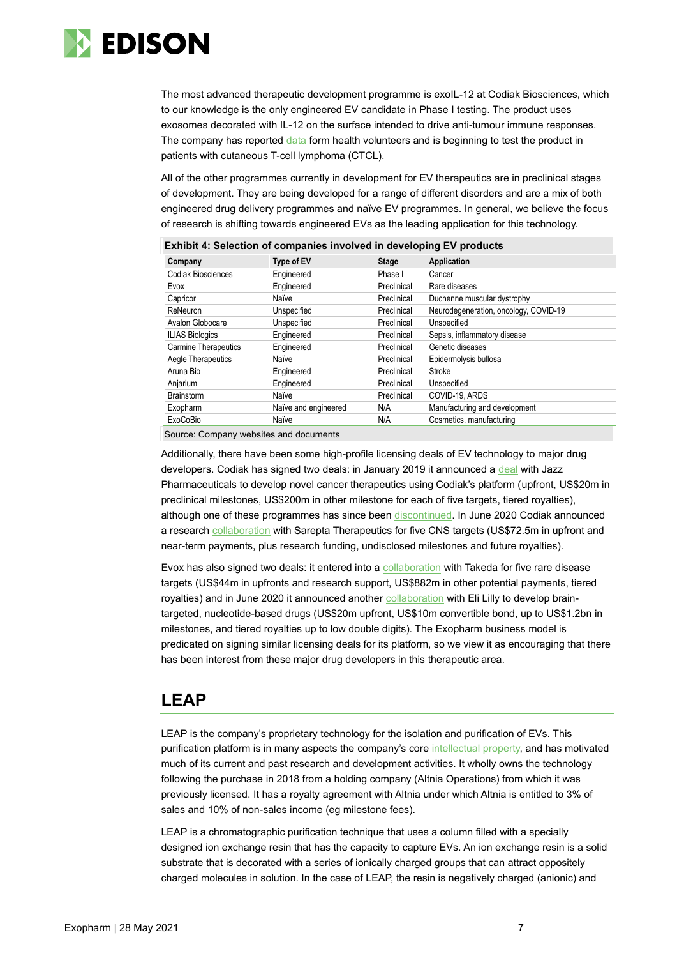

The most advanced therapeutic development programme is exoIL-12 at Codiak Biosciences, which to our knowledge is the only engineered EV candidate in Phase I testing. The product uses exosomes decorated with IL-12 on the surface intended to drive anti-tumour immune responses. The company has reported [data](https://ir.codiakbio.com/news-releases/news-release-details/codiak-reports-additional-positive-phase-1-results-exoil-12tm) form health volunteers and is beginning to test the product in patients with cutaneous T-cell lymphoma (CTCL).

All of the other programmes currently in development for EV therapeutics are in preclinical stages of development. They are being developed for a range of different disorders and are a mix of both engineered drug delivery programmes and naïve EV programmes. In general, we believe the focus of research is shifting towards engineered EVs as the leading application for this technology.

| <b>EXIMPLE 4. SERCTION OF COMPANIES INVOLVED IN GEVELOPING EV PROGUCTS</b> |                      |              |                                       |  |  |
|----------------------------------------------------------------------------|----------------------|--------------|---------------------------------------|--|--|
| Company                                                                    | <b>Type of EV</b>    | <b>Stage</b> | Application                           |  |  |
| <b>Codiak Biosciences</b>                                                  | Engineered           | Phase I      | Cancer                                |  |  |
| Evox                                                                       | Engineered           | Preclinical  | Rare diseases                         |  |  |
| Capricor                                                                   | Naïve                | Preclinical  | Duchenne muscular dystrophy           |  |  |
| ReNeuron                                                                   | Unspecified          | Preclinical  | Neurodegeneration, oncology, COVID-19 |  |  |
| Avalon Globocare                                                           | Unspecified          | Preclinical  | Unspecified                           |  |  |
| <b>ILIAS Biologics</b>                                                     | Engineered           | Preclinical  | Sepsis, inflammatory disease          |  |  |
| <b>Carmine Therapeutics</b>                                                | Engineered           | Preclinical  | Genetic diseases                      |  |  |
| Aegle Therapeutics                                                         | Naïve                | Preclinical  | Epidermolysis bullosa                 |  |  |
| Aruna Bio                                                                  | Engineered           | Preclinical  | Stroke                                |  |  |
| Anjarium                                                                   | Engineered           | Preclinical  | Unspecified                           |  |  |
| <b>Brainstorm</b>                                                          | Naïve                | Preclinical  | COVID-19, ARDS                        |  |  |
| Exopharm                                                                   | Naïve and engineered | N/A          | Manufacturing and development         |  |  |
| <b>ExoCoBio</b>                                                            | Naïve                | N/A          | Cosmetics, manufacturing              |  |  |

**Exhibit 4: Selection of companies involved in developing EV products**

Source: Company websites and documents

Additionally, there have been some high-profile licensing deals of EV technology to major drug developers. Codiak has signed two deals: in January 2019 it announced a [deal](https://ir.codiakbio.com/news-releases/news-release-details/jazz-pharmaceuticals-and-codiak-biosciences-announce-strategic) with Jazz Pharmaceuticals to develop novel cancer therapeutics using Codiak's platform (upfront, US\$20m in preclinical milestones, US\$200m in other milestone for each of five targets, tiered royalties), although one of these programmes has since been [discontinued.](https://www.sec.gov/Archives/edgar/data/1659352/000119312521110208/d171635d8k.htm) In June 2020 Codiak announced a research [collaboration](https://ir.codiakbio.com/news-releases/news-release-details/sarepta-therapeutics-and-codiak-biosciences-collaborate-research) with Sarepta Therapeutics for five CNS targets (US\$72.5m in upfront and near-term payments, plus research funding, undisclosed milestones and future royalties).

Evox has also signed two deals: it entered into a [collaboration](https://www.evoxtherapeutics.com/News/March-2020/Evox-Therapeutics-and-Takeda-collaboration) with Takeda for five rare disease targets (US\$44m in upfronts and research support, US\$882m in other potential payments, tiered royalties) and in June 2020 it announced another [collaboration](https://www.evoxtherapeutics.com/News/Jun-2020/Evox-Therapeutics-Enters-Into-Lilly-Collaboration) with Eli Lilly to develop braintargeted, nucleotide-based drugs (US\$20m upfront, US\$10m convertible bond, up to US\$1.2bn in milestones, and tiered royalties up to low double digits). The Exopharm business model is predicated on signing similar licensing deals for its platform, so we view it as encouraging that there has been interest from these major drug developers in this therapeutic area.

### **LEAP**

LEAP is the company's proprietary technology for the isolation and purification of EVs. This purification platform is in many aspects the company's cor[e intellectual property,](https://patents.google.com/patent/AU2019289287A1/en?oq=AU2018902162A+) and has motivated much of its current and past research and development activities. It wholly owns the technology following the purchase in 2018 from a holding company (Altnia Operations) from which it was previously licensed. It has a royalty agreement with Altnia under which Altnia is entitled to 3% of sales and 10% of non-sales income (eg milestone fees).

LEAP is a chromatographic purification technique that uses a column filled with a specially designed ion exchange resin that has the capacity to capture EVs. An ion exchange resin is a solid substrate that is decorated with a series of ionically charged groups that can attract oppositely charged molecules in solution. In the case of LEAP, the resin is negatively charged (anionic) and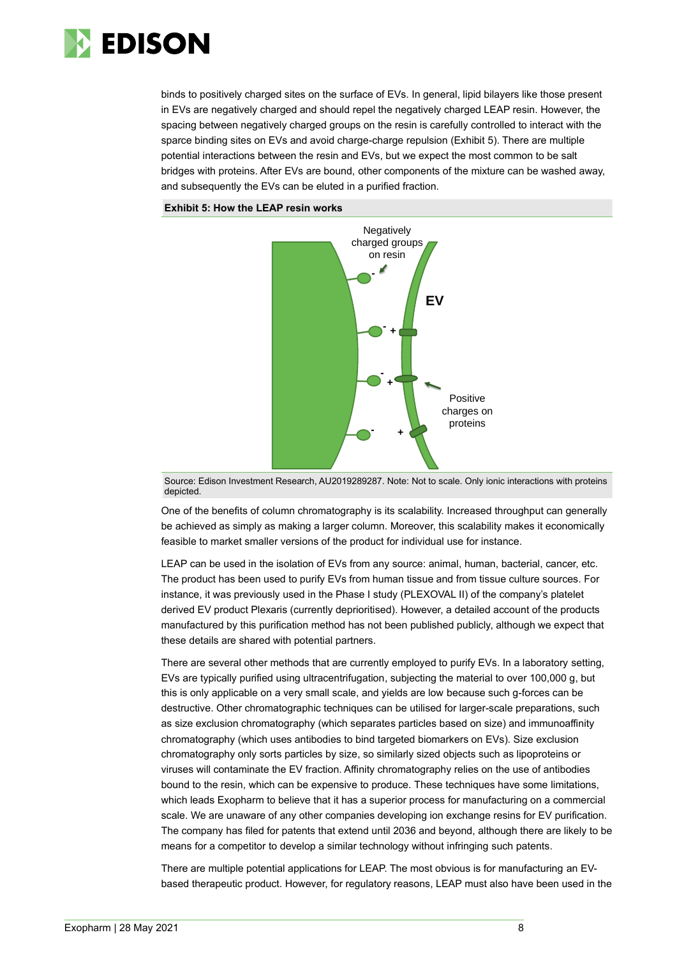

binds to positively charged sites on the surface of EVs. In general, lipid bilayers like those present in EVs are negatively charged and should repel the negatively charged LEAP resin. However, the spacing between negatively charged groups on the resin is carefully controlled to interact with the sparce binding sites on EVs and avoid charge-charge repulsion (Exhibit 5). There are multiple potential interactions between the resin and EVs, but we expect the most common to be salt bridges with proteins. After EVs are bound, other components of the mixture can be washed away, and subsequently the EVs can be eluted in a purified fraction.

#### **Exhibit 5: How the LEAP resin works**



Source: Edison Investment Research, AU2019289287. Note: Not to scale. Only ionic interactions with proteins depicted

One of the benefits of column chromatography is its scalability. Increased throughput can generally be achieved as simply as making a larger column. Moreover, this scalability makes it economically feasible to market smaller versions of the product for individual use for instance.

LEAP can be used in the isolation of EVs from any source: animal, human, bacterial, cancer, etc. The product has been used to purify EVs from human tissue and from tissue culture sources. For instance, it was previously used in the Phase I study (PLEXOVAL II) of the company's platelet derived EV product Plexaris (currently deprioritised). However, a detailed account of the products manufactured by this purification method has not been published publicly, although we expect that these details are shared with potential partners.

There are several other methods that are currently employed to purify EVs. In a laboratory setting, EVs are typically purified using ultracentrifugation, subjecting the material to over 100,000 g, but this is only applicable on a very small scale, and yields are low because such g-forces can be destructive. Other chromatographic techniques can be utilised for larger-scale preparations, such as size exclusion chromatography (which separates particles based on size) and immunoaffinity chromatography (which uses antibodies to bind targeted biomarkers on EVs). Size exclusion chromatography only sorts particles by size, so similarly sized objects such as lipoproteins or viruses will contaminate the EV fraction. Affinity chromatography relies on the use of antibodies bound to the resin, which can be expensive to produce. These techniques have some limitations, which leads Exopharm to believe that it has a superior process for manufacturing on a commercial scale. We are unaware of any other companies developing ion exchange resins for EV purification. The company has filed for patents that extend until 2036 and beyond, although there are likely to be means for a competitor to develop a similar technology without infringing such patents. based therapeutic product is a state of the meaning of the meaning of the new original state of the benefits of column chromatography is its scalability. Increased throughput can generally<br>be achieved as simply as making a

There are multiple potential applications for LEAP. The most obvious is for manufacturing an EV-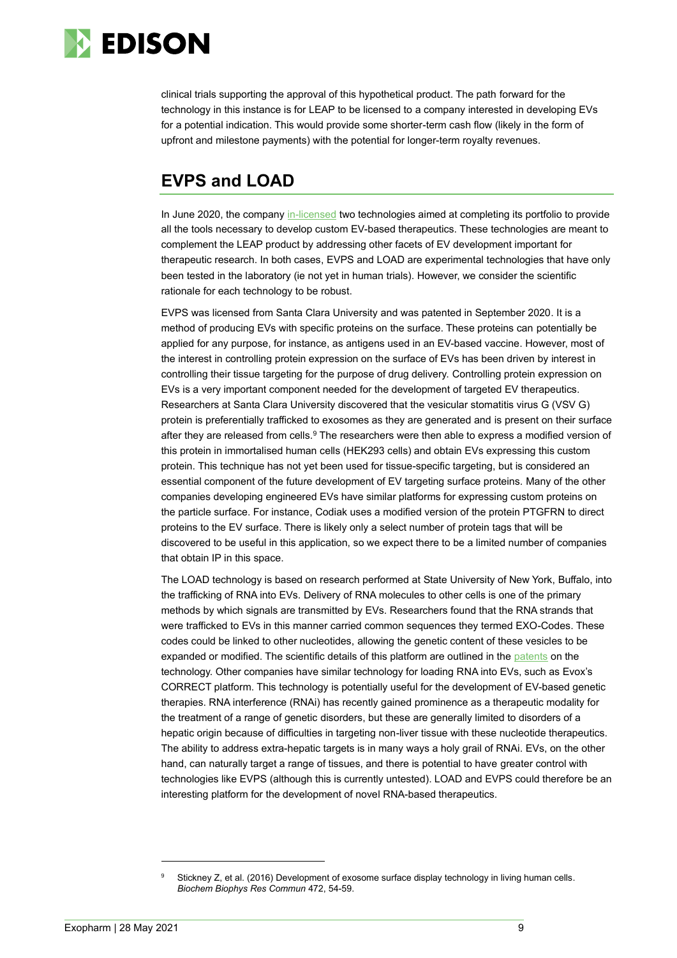

clinical trials supporting the approval of this hypothetical product. The path forward for the technology in this instance is for LEAP to be licensed to a company interested in developing EVs for a potential indication. This would provide some shorter-term cash flow (likely in the form of upfront and milestone payments) with the potential for longer-term royalty revenues.

## **EVPS and LOAD**

In June 2020, the company [in-licensed](https://exopharm.com/wp-content/uploads/2020/06/76._2020-EEV-IP-Final-20.06.12-David-Parker.pdf) two technologies aimed at completing its portfolio to provide all the tools necessary to develop custom EV-based therapeutics. These technologies are meant to complement the LEAP product by addressing other facets of EV development important for therapeutic research. In both cases, EVPS and LOAD are experimental technologies that have only been tested in the laboratory (ie not yet in human trials). However, we consider the scientific rationale for each technology to be robust.

EVPS was licensed from Santa Clara University and was patented in September 2020. It is a method of producing EVs with specific proteins on the surface. These proteins can potentially be applied for any purpose, for instance, as antigens used in an EV-based vaccine. However, most of the interest in controlling protein expression on the surface of EVs has been driven by interest in controlling their tissue targeting for the purpose of drug delivery. Controlling protein expression on EVs is a very important component needed for the development of targeted EV therapeutics. Researchers at Santa Clara University discovered that the vesicular stomatitis virus G (VSV G) protein is preferentially trafficked to exosomes as they are generated and is present on their surface after they are released from cells.<sup>9</sup> The researchers were then able to express a modified version of this protein in immortalised human cells (HEK293 cells) and obtain EVs expressing this custom protein. This technique has not yet been used for tissue-specific targeting, but is considered an essential component of the future development of EV targeting surface proteins. Many of the other companies developing engineered EVs have similar platforms for expressing custom proteins on the particle surface. For instance, Codiak uses a modified version of the protein PTGFRN to direct proteins to the EV surface. There is likely only a select number of protein tags that will be discovered to be useful in this application, so we expect there to be a limited number of companies that obtain IP in this space.

The LOAD technology is based on research performed at State University of New York, Buffalo, into the trafficking of RNA into EVs. Delivery of RNA molecules to other cells is one of the primary methods by which signals are transmitted by EVs. Researchers found that the RNA strands that were trafficked to EVs in this manner carried common sequences they termed EXO-Codes. These codes could be linked to other nucleotides, allowing the genetic content of these vesicles to be expanded or modified. The scientific details of this platform are outlined in the [patents](https://patents.google.com/patent/US20200080092A1/en?oq=WO2018209182) on the technology. Other companies have similar technology for loading RNA into EVs, such as Evox's CORRECT platform. This technology is potentially useful for the development of EV-based genetic therapies. RNA interference (RNAi) has recently gained prominence as a therapeutic modality for the treatment of a range of genetic disorders, but these are generally limited to disorders of a hepatic origin because of difficulties in targeting non-liver tissue with these nucleotide therapeutics. The ability to address extra-hepatic targets is in many ways a holy grail of RNAi. EVs, on the other hand, can naturally target a range of tissues, and there is potential to have greater control with technologies like EVPS (although this is currently untested). LOAD and EVPS could therefore be an interesting platform for the development of novel RNA-based therapeutics.

Stickney Z, et al. (2016) Development of exosome surface display technology in living human cells. *Biochem Biophys Res Commun* 472, 54-59.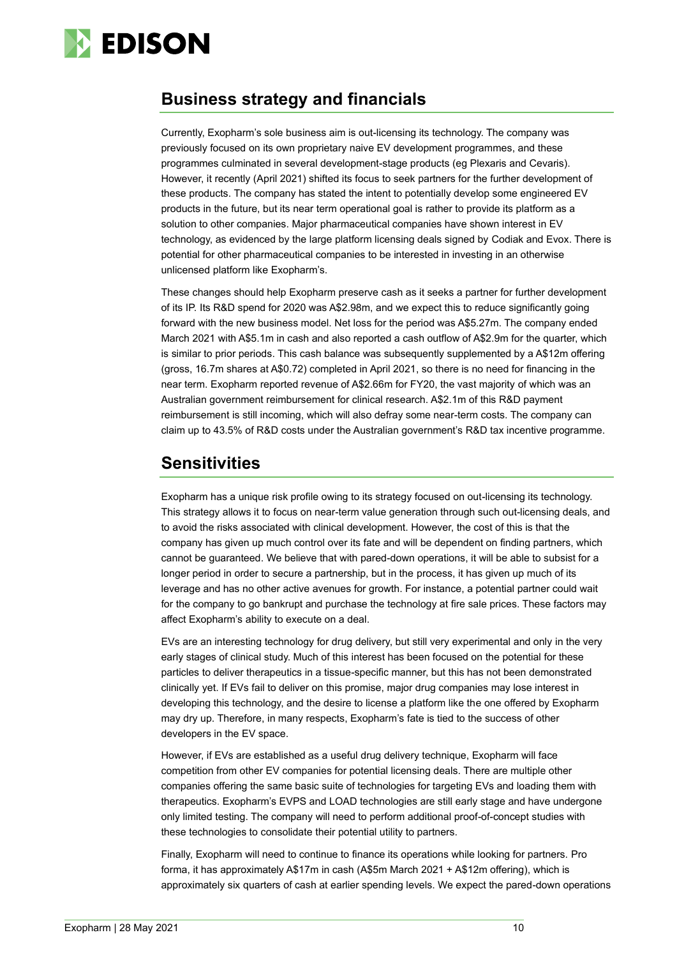

### **Business strategy and financials**

Currently, Exopharm's sole business aim is out-licensing its technology. The company was previously focused on its own proprietary naive EV development programmes, and these programmes culminated in several development-stage products (eg Plexaris and Cevaris). However, it recently (April 2021) shifted its focus to seek partners for the further development of these products. The company has stated the intent to potentially develop some engineered EV products in the future, but its near term operational goal is rather to provide its platform as a solution to other companies. Major pharmaceutical companies have shown interest in EV technology, as evidenced by the large platform licensing deals signed by Codiak and Evox. There is potential for other pharmaceutical companies to be interested in investing in an otherwise unlicensed platform like Exopharm's.

These changes should help Exopharm preserve cash as it seeks a partner for further development of its IP. Its R&D spend for 2020 was A\$2.98m, and we expect this to reduce significantly going forward with the new business model. Net loss for the period was A\$5.27m. The company ended March 2021 with A\$5.1m in cash and also reported a cash outflow of A\$2.9m for the quarter, which is similar to prior periods. This cash balance was subsequently supplemented by a A\$12m offering (gross, 16.7m shares at A\$0.72) completed in April 2021, so there is no need for financing in the near term. Exopharm reported revenue of A\$2.66m for FY20, the vast majority of which was an Australian government reimbursement for clinical research. A\$2.1m of this R&D payment reimbursement is still incoming, which will also defray some near-term costs. The company can claim up to 43.5% of R&D costs under the Australian government's R&D tax incentive programme.

### **Sensitivities**

Exopharm has a unique risk profile owing to its strategy focused on out-licensing its technology. This strategy allows it to focus on near-term value generation through such out-licensing deals, and to avoid the risks associated with clinical development. However, the cost of this is that the company has given up much control over its fate and will be dependent on finding partners, which cannot be guaranteed. We believe that with pared-down operations, it will be able to subsist for a longer period in order to secure a partnership, but in the process, it has given up much of its leverage and has no other active avenues for growth. For instance, a potential partner could wait for the company to go bankrupt and purchase the technology at fire sale prices. These factors may affect Exopharm's ability to execute on a deal.

EVs are an interesting technology for drug delivery, but still very experimental and only in the very early stages of clinical study. Much of this interest has been focused on the potential for these particles to deliver therapeutics in a tissue-specific manner, but this has not been demonstrated clinically yet. If EVs fail to deliver on this promise, major drug companies may lose interest in developing this technology, and the desire to license a platform like the one offered by Exopharm may dry up. Therefore, in many respects, Exopharm's fate is tied to the success of other developers in the EV space.

However, if EVs are established as a useful drug delivery technique, Exopharm will face competition from other EV companies for potential licensing deals. There are multiple other companies offering the same basic suite of technologies for targeting EVs and loading them with therapeutics. Exopharm's EVPS and LOAD technologies are still early stage and have undergone only limited testing. The company will need to perform additional proof-of-concept studies with these technologies to consolidate their potential utility to partners.

Finally, Exopharm will need to continue to finance its operations while looking for partners. Pro forma, it has approximately A\$17m in cash (A\$5m March 2021 + A\$12m offering), which is approximately six quarters of cash at earlier spending levels. We expect the pared-down operations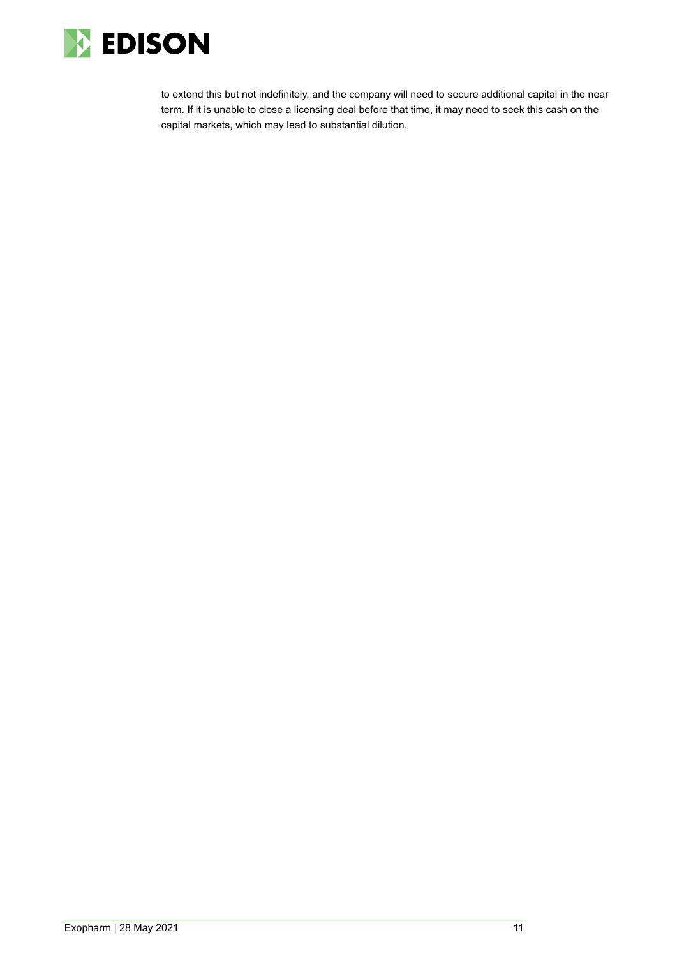

to extend this but not indefinitely, and the company will need to secure additional capital in the near term. If it is unable to close a licensing deal before that time, it may need to seek this cash on the capital markets, which may lead to substantial dilution.